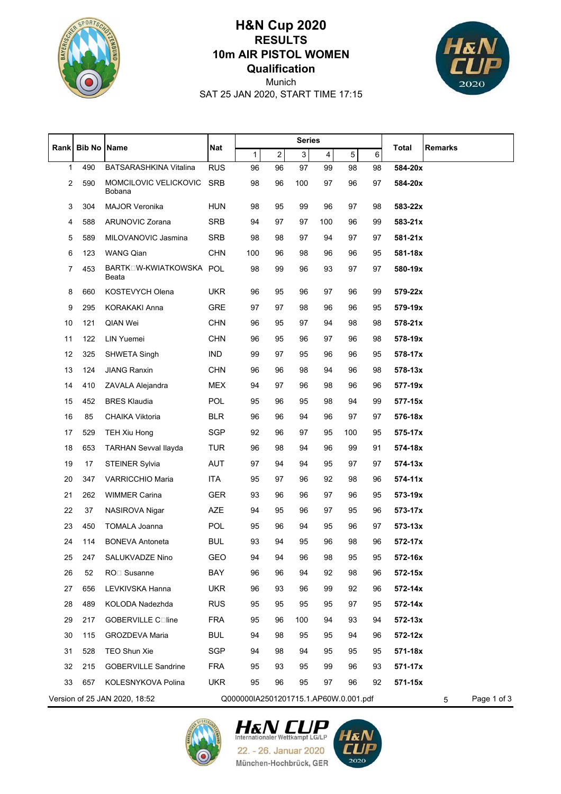

## **Qualification 10m AIR PISTOL WOMEN RESULTS H&N Cup 2020**



SAT 25 JAN 2020, START TIME 17:15 Munich

|                                                                        | <b>Bib No</b> | <b>Name</b>                      | <b>Nat</b> | <b>Series</b> |                |     |                         |     |    |              |         |
|------------------------------------------------------------------------|---------------|----------------------------------|------------|---------------|----------------|-----|-------------------------|-----|----|--------------|---------|
| <b>Rank</b>                                                            |               |                                  |            | 1             | $\overline{2}$ | 3   | $\overline{\mathbf{4}}$ | 5   | 6  | <b>Total</b> | Remarks |
| 1                                                                      | 490           | BATSARASHKINA Vitalina           | <b>RUS</b> | 96            | 96             | 97  | 99                      | 98  | 98 | 584-20x      |         |
| 2                                                                      | 590           | MOMCILOVIC VELICKOVIC<br>Bobana  | <b>SRB</b> | 98            | 96             | 100 | 97                      | 96  | 97 | 584-20x      |         |
| 3                                                                      | 304           | <b>MAJOR Veronika</b>            | <b>HUN</b> | 98            | 95             | 99  | 96                      | 97  | 98 | 583-22x      |         |
| 4                                                                      | 588           | ARUNOVIC Zorana                  | <b>SRB</b> | 94            | 97             | 97  | 100                     | 96  | 99 | 583-21x      |         |
| 5                                                                      | 589           | MILOVANOVIC Jasmina              | <b>SRB</b> | 98            | 98             | 97  | 94                      | 97  | 97 | $581 - 21x$  |         |
| 6                                                                      | 123           | <b>WANG Qian</b>                 | <b>CHN</b> | 100           | 96             | 98  | 96                      | 96  | 95 | 581-18x      |         |
| 7                                                                      | 453           | BARTKOW-KWIATKOWSKA POL<br>Beata |            | 98            | 99             | 96  | 93                      | 97  | 97 | 580-19x      |         |
| 8                                                                      | 660           | KOSTEVYCH Olena                  | <b>UKR</b> | 96            | 95             | 96  | 97                      | 96  | 99 | 579-22x      |         |
| 9                                                                      | 295           | <b>KORAKAKI Anna</b>             | <b>GRE</b> | 97            | 97             | 98  | 96                      | 96  | 95 | 579-19x      |         |
| 10                                                                     | 121           | <b>QIAN Wei</b>                  | <b>CHN</b> | 96            | 95             | 97  | 94                      | 98  | 98 | 578-21x      |         |
| 11                                                                     | 122           | LIN Yuemei                       | <b>CHN</b> | 96            | 95             | 96  | 97                      | 96  | 98 | 578-19x      |         |
| 12                                                                     | 325           | SHWETA Singh                     | IND        | 99            | 97             | 95  | 96                      | 96  | 95 | 578-17x      |         |
| 13                                                                     | 124           | <b>JIANG Ranxin</b>              | <b>CHN</b> | 96            | 96             | 98  | 94                      | 96  | 98 | 578-13x      |         |
| 14                                                                     | 410           | ZAVALA Alejandra                 | <b>MEX</b> | 94            | 97             | 96  | 98                      | 96  | 96 | 577-19x      |         |
| 15                                                                     | 452           | <b>BRES Klaudia</b>              | POL        | 95            | 96             | 95  | 98                      | 94  | 99 | 577-15x      |         |
| 16                                                                     | 85            | <b>CHAIKA Viktoria</b>           | <b>BLR</b> | 96            | 96             | 94  | 96                      | 97  | 97 | 576-18x      |         |
| 17                                                                     | 529           | <b>TEH Xiu Hong</b>              | <b>SGP</b> | 92            | 96             | 97  | 95                      | 100 | 95 | 575-17x      |         |
| 18                                                                     | 653           | <b>TARHAN Sevval Ilayda</b>      | <b>TUR</b> | 96            | 98             | 94  | 96                      | 99  | 91 | 574-18x      |         |
| 19                                                                     | 17            | <b>STEINER Sylvia</b>            | <b>AUT</b> | 97            | 94             | 94  | 95                      | 97  | 97 | 574-13x      |         |
| 20                                                                     | 347           | VARRICCHIO Maria                 | <b>ITA</b> | 95            | 97             | 96  | 92                      | 98  | 96 | 574-11x      |         |
| 21                                                                     | 262           | <b>WIMMER Carina</b>             | <b>GER</b> | 93            | 96             | 96  | 97                      | 96  | 95 | 573-19x      |         |
| 22                                                                     | 37            | NASIROVA Nigar                   | AZE        | 94            | 95             | 96  | 97                      | 95  | 96 | 573-17x      |         |
| 23                                                                     | 450           | TOMALA Joanna                    | POL        | 95            | 96             | 94  | 95                      | 96  | 97 | $573 - 13x$  |         |
| 24                                                                     | 114           | <b>BONEVA Antoneta</b>           | <b>BUL</b> | 93            | 94             | 95  | 96                      | 98  | 96 | 572-17x      |         |
| 25                                                                     | 247           | SALUKVADZE Nino                  | GEO        | 94            | 94             | 96  | 98                      | 95  | 95 | 572-16x      |         |
| 26                                                                     | 52            | RO <sub>D</sub> Susanne          | BAY        | 96            | 96             | 94  | 92                      | 98  | 96 | 572-15x      |         |
| 27                                                                     | 656           | LEVKIVSKA Hanna                  | <b>UKR</b> | 96            | 93             | 96  | 99                      | 92  | 96 | 572-14x      |         |
| 28                                                                     | 489           | KOLODA Nadezhda                  | <b>RUS</b> | 95            | 95             | 95  | 95                      | 97  | 95 | 572-14x      |         |
| 29                                                                     | 217           | GOBERVILLE Coline                | <b>FRA</b> | 95            | 96             | 100 | 94                      | 93  | 94 | $572 - 13x$  |         |
| 30                                                                     | 115           | GROZDEVA Maria                   | <b>BUL</b> | 94            | 98             | 95  | 95                      | 94  | 96 | 572-12x      |         |
| 31                                                                     | 528           | TEO Shun Xie                     | SGP        | 94            | 98             | 94  | 95                      | 95  | 95 | 571-18x      |         |
| 32                                                                     | 215           | <b>GOBERVILLE Sandrine</b>       | <b>FRA</b> | 95            | 93             | 95  | 99                      | 96  | 93 | 571-17x      |         |
| 33                                                                     | 657           | KOLESNYKOVA Polina               | <b>UKR</b> | 95            | 96             | 95  | 97                      | 96  | 92 | 571-15x      |         |
| Version of 25 JAN 2020, 18:52<br>Q000000IA2501201715.1.AP60W.0.001.pdf |               |                                  |            |               |                |     | Page 1 of 3<br>5        |     |    |              |         |





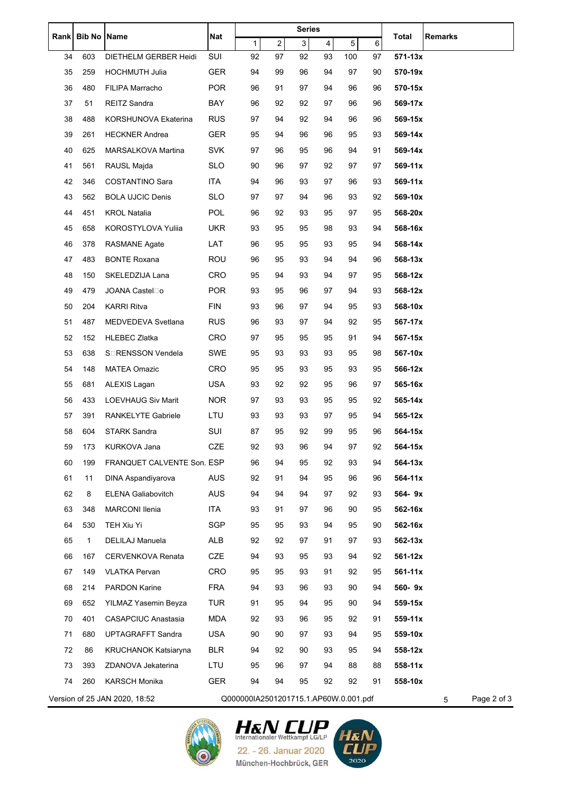| Rankl | <b>Bib No</b> | <b>Name</b>                    | Nat        | <b>Series</b>                         |                |    |                |                |    | Remarks     |                  |  |
|-------|---------------|--------------------------------|------------|---------------------------------------|----------------|----|----------------|----------------|----|-------------|------------------|--|
|       |               |                                |            | $\mathbf{1}$                          | $\overline{c}$ | 3  | $\overline{4}$ | 5 <sup>1</sup> | 6  | Total       |                  |  |
| 34    | 603           | DIETHELM GERBER Heidi          | SUI        | 92                                    | 97             | 92 | 93             | 100            | 97 | $571 - 13x$ |                  |  |
| 35    | 259           | <b>HOCHMUTH Julia</b>          | <b>GER</b> | 94                                    | 99             | 96 | 94             | 97             | 90 | 570-19x     |                  |  |
| 36    | 480           | FILIPA Marracho                | <b>POR</b> | 96                                    | 91             | 97 | 94             | 96             | 96 | 570-15x     |                  |  |
| 37    | 51            | <b>REITZ Sandra</b>            | BAY        | 96                                    | 92             | 92 | 97             | 96             | 96 | 569-17x     |                  |  |
| 38    | 488           | KORSHUNOVA Ekaterina           | <b>RUS</b> | 97                                    | 94             | 92 | 94             | 96             | 96 | 569-15x     |                  |  |
| 39    | 261           | <b>HECKNER Andrea</b>          | <b>GER</b> | 95                                    | 94             | 96 | 96             | 95             | 93 | 569-14x     |                  |  |
| 40    | 625           | MARSALKOVA Martina             | <b>SVK</b> | 97                                    | 96             | 95 | 96             | 94             | 91 | 569-14x     |                  |  |
| 41    | 561           | RAUSL Majda                    | <b>SLO</b> | 90                                    | 96             | 97 | 92             | 97             | 97 | 569-11x     |                  |  |
| 42    | 346           | COSTANTINO Sara                | <b>ITA</b> | 94                                    | 96             | 93 | 97             | 96             | 93 | 569-11x     |                  |  |
| 43    | 562           | <b>BOLA UJCIC Denis</b>        | <b>SLO</b> | 97                                    | 97             | 94 | 96             | 93             | 92 | 569-10x     |                  |  |
| 44    | 451           | <b>KROL Natalia</b>            | <b>POL</b> | 96                                    | 92             | 93 | 95             | 97             | 95 | 568-20x     |                  |  |
| 45    | 658           | <b>KOROSTYLOVA Yulija</b>      | <b>UKR</b> | 93                                    | 95             | 95 | 98             | 93             | 94 | 568-16x     |                  |  |
| 46    | 378           | <b>RASMANE Agate</b>           | LAT        | 96                                    | 95             | 95 | 93             | 95             | 94 | 568-14x     |                  |  |
| 47    | 483           | <b>BONTE Roxana</b>            | ROU        | 96                                    | 95             | 93 | 94             | 94             | 96 | 568-13x     |                  |  |
| 48    | 150           | SKELEDZIJA Lana                | <b>CRO</b> | 95                                    | 94             | 93 | 94             | 97             | 95 | 568-12x     |                  |  |
| 49    | 479           | JOANA Castel□o                 | <b>POR</b> | 93                                    | 95             | 96 | 97             | 94             | 93 | 568-12x     |                  |  |
| 50    | 204           | <b>KARRI Ritva</b>             | <b>FIN</b> | 93                                    | 96             | 97 | 94             | 95             | 93 | 568-10x     |                  |  |
| 51    | 487           | MEDVEDEVA Svetlana             | <b>RUS</b> | 96                                    | 93             | 97 | 94             | 92             | 95 | 567-17x     |                  |  |
| 52    | 152           | <b>HLEBEC Zlatka</b>           | <b>CRO</b> | 97                                    | 95             | 95 | 95             | 91             | 94 | 567-15x     |                  |  |
| 53    | 638           | S <sub>I</sub> RENSSON Vendela | SWE        | 95                                    | 93             | 93 | 93             | 95             | 98 | 567-10x     |                  |  |
| 54    | 148           | <b>MATEA Omazic</b>            | <b>CRO</b> | 95                                    | 95             | 93 | 95             | 93             | 95 | 566-12x     |                  |  |
| 55    | 681           | ALEXIS Lagan                   | <b>USA</b> | 93                                    | 92             | 92 | 95             | 96             | 97 | 565-16x     |                  |  |
| 56    | 433           | <b>LOEVHAUG Siv Marit</b>      | NOR.       | 97                                    | 93             | 93 | 95             | 95             | 92 | 565-14x     |                  |  |
| 57    | 391           | <b>RANKELYTE Gabriele</b>      | LTU        | 93                                    | 93             | 93 | 97             | 95             | 94 | 565-12x     |                  |  |
| 58    | 604           | <b>STARK Sandra</b>            | <b>SUI</b> | 87                                    | 95             | 92 | 99             | 95             | 96 | 564-15x     |                  |  |
| 59    | 173           | KURKOVA Jana                   | CZE        | 92                                    | 93             | 96 | 94             | 97             | 92 | 564-15x     |                  |  |
| 60    | 199           | FRANQUET CALVENTE Son. ESP     |            | 96                                    | 94             | 95 | 92             | 93             | 94 | 564-13x     |                  |  |
| 61    | 11            | DINA Aspandiyarova             | AUS        | 92                                    | 91             | 94 | 95             | 96             | 96 | 564-11x     |                  |  |
| 62    | 8             | <b>ELENA Galiabovitch</b>      | <b>AUS</b> | 94                                    | 94             | 94 | 97             | 92             | 93 | 564-9x      |                  |  |
| 63    | 348           | <b>MARCONI Ilenia</b>          | <b>ITA</b> | 93                                    | 91             | 97 | 96             | 90             | 95 | 562-16x     |                  |  |
| 64    | 530           | TEH Xiu Yi                     | SGP        | 95                                    | 95             | 93 | 94             | 95             | 90 | 562-16x     |                  |  |
| 65    | 1             | DELILAJ Manuela                | ALB        | 92                                    | 92             | 97 | 91             | 97             | 93 | 562-13x     |                  |  |
| 66    | 167           | CERVENKOVA Renata              | CZE        | 94                                    | 93             | 95 | 93             | 94             | 92 | 561-12x     |                  |  |
| 67    | 149           | <b>VLATKA Pervan</b>           | <b>CRO</b> | 95                                    | 95             | 93 | 91             | 92             | 95 | $561 - 11x$ |                  |  |
| 68    | 214           | PARDON Karine                  | <b>FRA</b> | 94                                    | 93             | 96 | 93             | 90             | 94 | 560-9x      |                  |  |
| 69    | 652           | YILMAZ Yasemin Beyza           | <b>TUR</b> | 91                                    | 95             | 94 | 95             | 90             | 94 | 559-15x     |                  |  |
| 70    | 401           | CASAPCIUC Anastasia            | <b>MDA</b> | 92                                    | 93             | 96 | 95             | 92             | 91 | 559-11x     |                  |  |
| 71    | 680           | UPTAGRAFFT Sandra              | <b>USA</b> | 90                                    | 90             | 97 | 93             | 94             | 95 | 559-10x     |                  |  |
| 72    | 86            | <b>KRUCHANOK Katsiaryna</b>    | <b>BLR</b> | 94                                    | 92             | 90 | 93             | 95             | 94 | 558-12x     |                  |  |
| 73    | 393           | ZDANOVA Jekaterina             | LTU        | 95                                    | 96             | 97 | 94             | 88             | 88 | 558-11x     |                  |  |
| 74    | 260           | <b>KARSCH Monika</b>           | GER        | 94                                    | 94             | 95 | 92             | 92             | 91 | 558-10x     |                  |  |
|       |               | Version of 25 JAN 2020, 18:52  |            | Q000000IA2501201715.1.AP60W.0.001.pdf |                |    |                |                |    |             | Page 2 of 3<br>5 |  |